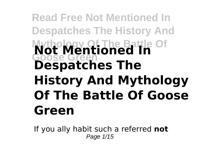# **Read Free Not Mentioned In Despatches The History And Mythology Of The Battle Of Goose Green Not Mentioned In Despatches The History And Mythology Of The Battle Of Goose Green**

If you ally habit such a referred **not** Page 1/15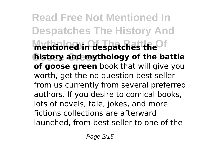**Read Free Not Mentioned In Despatches The History And Mythology Of The Battle Of mentioned in despatches the history and mythology of the battle of goose green** book that will give you worth, get the no question best seller from us currently from several preferred authors. If you desire to comical books, lots of novels, tale, jokes, and more fictions collections are afterward launched, from best seller to one of the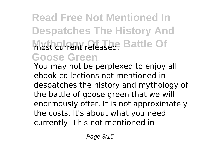## **Read Free Not Mentioned In Despatches The History And Mythology Control Control Control Control Control Control Control Control Control Control Control Control Control Control Control Control Control Control Control Control Control Control Control Control Control Control Con Goose Green**

You may not be perplexed to enjoy all ebook collections not mentioned in despatches the history and mythology of the battle of goose green that we will enormously offer. It is not approximately the costs. It's about what you need currently. This not mentioned in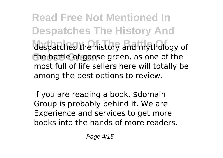**Read Free Not Mentioned In Despatches The History And** despatches the history and mythology of the battle of goose green, as one of the most full of life sellers here will totally be among the best options to review.

If you are reading a book, \$domain Group is probably behind it. We are Experience and services to get more books into the hands of more readers.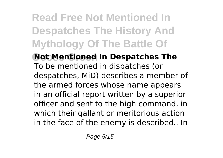### **Read Free Not Mentioned In Despatches The History And Mythology Of The Battle Of**

**Not Mentioned In Despatches The** To be mentioned in dispatches (or despatches, MiD) describes a member of the armed forces whose name appears in an official report written by a superior officer and sent to the high command, in which their gallant or meritorious action in the face of the enemy is described.. In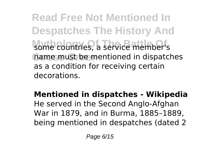**Read Free Not Mentioned In Despatches The History And** some countries, a service member's **Goose Green** name must be mentioned in dispatches as a condition for receiving certain decorations.

#### **Mentioned in dispatches - Wikipedia**

He served in the Second Anglo-Afghan War in 1879, and in Burma, 1885–1889, being mentioned in despatches (dated 2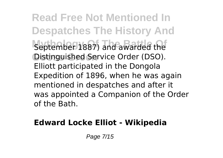**Read Free Not Mentioned In Despatches The History And** September 1887) and awarded the **Goose Green** Distinguished Service Order (DSO). Elliott participated in the Dongola Expedition of 1896, when he was again mentioned in despatches and after it was appointed a Companion of the Order of the Bath.

#### **Edward Locke Elliot - Wikipedia**

Page 7/15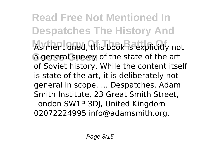**Read Free Not Mentioned In Despatches The History And** As mentioned, this book is explicitly not **Goose Green** a general survey of the state of the art of Soviet history. While the content itself is state of the art, it is deliberately not general in scope. ... Despatches. Adam Smith Institute, 23 Great Smith Street, London SW1P 3DJ, United Kingdom 02072224995 info@adamsmith.org.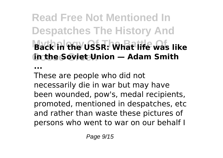**Read Free Not Mentioned In Despatches The History And Mythology Of The Battle Of Back in the USSR: What life was like Goose Green in the Soviet Union — Adam Smith**

**...**

These are people who did not necessarily die in war but may have been wounded, pow's, medal recipients, promoted, mentioned in despatches, etc and rather than waste these pictures of persons who went to war on our behalf I

Page 9/15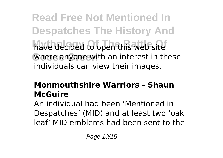**Read Free Not Mentioned In Despatches The History And** have decided to open this web site where anyone with an interest in these individuals can view their images.

#### **Monmouthshire Warriors - Shaun McGuire**

An individual had been 'Mentioned in Despatches' (MID) and at least two 'oak leaf' MID emblems had been sent to the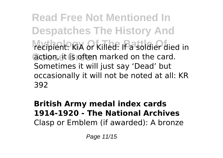**Read Free Not Mentioned In Despatches The History And** recipient: KiA or Killed: If a soldier died in **Goose Green** action, it is often marked on the card. Sometimes it will just say 'Dead' but occasionally it will not be noted at all: KR 392

#### **British Army medal index cards 1914-1920 - The National Archives** Clasp or Emblem (if awarded): A bronze

Page 11/15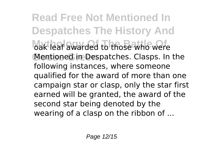**Read Free Not Mentioned In Despatches The History And** oak leaf awarded to those who were Mentioned in Despatches. Clasps. In the following instances, where someone qualified for the award of more than one campaign star or clasp, only the star first earned will be granted, the award of the second star being denoted by the wearing of a clasp on the ribbon of ...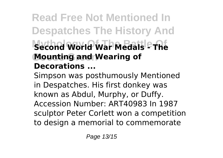### **Read Free Not Mentioned In Despatches The History And Second World War Medals - The Goose Green Mounting and Wearing of Decorations ...**

Simpson was posthumously Mentioned in Despatches. His first donkey was known as Abdul, Murphy, or Duffy. Accession Number: ART40983 In 1987 sculptor Peter Corlett won a competition to design a memorial to commemorate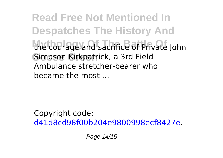**Read Free Not Mentioned In Despatches The History And** the courage and sacrifice of Private John Simpson Kirkpatrick, a 3rd Field Ambulance stretcher-bearer who became the most ...

Copyright code: [d41d8cd98f00b204e9800998ecf8427e.](/sitemap.xml)

Page 14/15